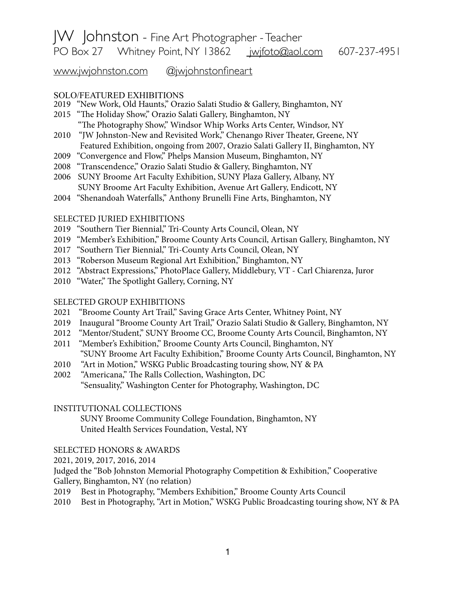# JW Johnston - Fine Art Photographer - Teacher PO Box 27 Whitney Point, NY 13862 [jwjfoto@aol.com](mailto:jwjfoto@aol.com) 607-237-4951

[www.jwjohnston.com](http://www.jwjohnston.com) @[jwjohnstonfineart](http://www.instagram.com/jwjohnstonfineart)

### SOLO/FEATURED EXHIBITIONS

- 2019 "New Work, Old Haunts," Orazio Salati Studio & Gallery, Binghamton, NY
- 2015 "The Holiday Show," Orazio Salati Gallery, Binghamton, NY "The Photography Show," Windsor Whip Works Arts Center, Windsor, NY
- 2010 "JW Johnston-New and Revisited Work," Chenango River Theater, Greene, NY Featured Exhibition, ongoing from 2007, Orazio Salati Gallery II, Binghamton, NY
- 2009 "Convergence and Flow," Phelps Mansion Museum, Binghamton, NY
- 2008 "Transcendence," Orazio Salati Studio & Gallery, Binghamton, NY
- 2006 SUNY Broome Art Faculty Exhibition, SUNY Plaza Gallery, Albany, NY SUNY Broome Art Faculty Exhibition, Avenue Art Gallery, Endicott, NY
- 2004 "Shenandoah Waterfalls," Anthony Brunelli Fine Arts, Binghamton, NY

#### SELECTED JURIED EXHIBITIONS

- 2019 "Southern Tier Biennial," Tri-County Arts Council, Olean, NY
- 2019 "Member's Exhibition," Broome County Arts Council, Artisan Gallery, Binghamton, NY
- 2017 "Southern Tier Biennial," Tri-County Arts Council, Olean, NY
- 2013 "Roberson Museum Regional Art Exhibition," Binghamton, NY
- 2012 "Abstract Expressions," PhotoPlace Gallery, Middlebury, VT Carl Chiarenza, Juror
- 2010 "Water," The Spotlight Gallery, Corning, NY

### SELECTED GROUP EXHIBITIONS

- 2021 "Broome County Art Trail," Saving Grace Arts Center, Whitney Point, NY
- 2019 Inaugural "Broome County Art Trail," Orazio Salati Studio & Gallery, Binghamton, NY
- 2012 "Mentor/Student," SUNY Broome CC, Broome County Arts Council, Binghamton, NY
- 2011 "Member's Exhibition," Broome County Arts Council, Binghamton, NY "SUNY Broome Art Faculty Exhibition," Broome County Arts Council, Binghamton, NY
- 2010 "Art in Motion," WSKG Public Broadcasting touring show, NY & PA
- 2002 "Americana," The Ralls Collection, Washington, DC "Sensuality," Washington Center for Photography, Washington, DC

#### INSTITUTIONAL COLLECTIONS

 SUNY Broome Community College Foundation, Binghamton, NY United Health Services Foundation, Vestal, NY

### SELECTED HONORS & AWARDS

2021, 2019, 2017, 2016, 2014

Judged the "Bob Johnston Memorial Photography Competition & Exhibition," Cooperative Gallery, Binghamton, NY (no relation)

- 2019 Best in Photography, "Members Exhibition," Broome County Arts Council
- 2010 Best in Photography, "Art in Motion," WSKG Public Broadcasting touring show, NY & PA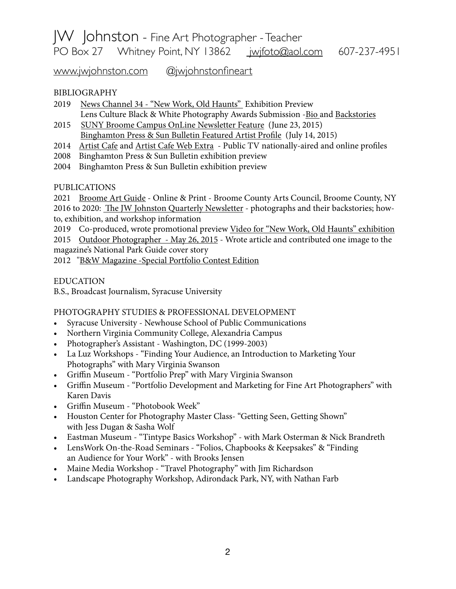# JW Johnston - Fine Art Photographer - Teacher PO Box 27 Whitney Point, NY 13862 [jwjfoto@aol.com](mailto:jwjfoto@aol.com) 607-237-4951

[www.jwjohnston.com](http://www.jwjohnston.com) @[jwjohnstonfineart](http://www.instagram.com/jwjohnstonfineart)

## BIBLIOGRAPHY

- 2019 [News Channel 34 "New Work, Old Haunts"](https://www.binghamtonhomepage.com/news/local-news/first-friday-jw-johnston-is-displaying-new-work-old-haunts/) Exhibition Preview Lens Culture Black & White Photography Awards Submission [-Bio a](https://www.lensculture.com/jw-johnston)nd [Backstories](https://www.lensculture.com/jw-johnston?modal=project-1105943)
- 2015 [SUNY Broome Campus OnLine Newsletter Feature](https://news.sunybroome.edu/buzz/suny-broome-photography-instructors-work-featured-in-national-magazine/) (June 23, 2015) [Binghamton Press & Sun Bulletin Featured Artist Pro](https://www.pressconnects.com/story/news/connections/2015/07/14/creators-johnston/30149847/)fle (July 14, 2015)
- 2014 [Artist Cafe](https://www.youtube.com/watch?v=UmLhA8Xv0Z0) and [Artist Cafe Web Extra](https://www.youtube.com/watch?v=dApdMG80II0)  Public TV nationally-aired and online profiles
- [2008](https://www.lensculture.com/jw-johnston?modal=project-1105943) Binghamton Press & Sun Bulletin exhibition preview
- 2004 Binghamton Press & Sun Bulletin exhibition preview

## PUBLICATIONS

2021 [Broome Art Guide](https://broomearts.org/wp-content/plugins/pdfjs-viewer-shortcode/pdfjs/web/viewer.php?file=https://broomearts.org/wp-content/uploads/2021/11/BroomeArtGuide2021.pdf&attachment_id=&dButton=true&pButton=false&oButton=false&sButton=true#zoom=auto&pagemode=none&_wpnonce=6545ce97ed) - Online & Print - Broome County Arts Council, Broome County, NY 2016 to 2020: Th[e JW Johnston Quarterly Newsletter](https://us15.campaign-archive.com/home/?u=ad10378a48a8378ee70bc9f5e&id=b4497a42bf) - photographs and their backstories; howto, exhibition, and workshop information

2019 Co-produced, wrote promotional preview [Video for "New Work, Old Haunts" exhibition](https://www.youtube.com/watch?v=Rg1fJNhI3g0)

2015 [Outdoor Photographer - May 26, 2015](https://www.outdoorphotographer.com/on-location/travel/national-parks-pro-guide/#.VYM71esbz8s) - Wrote article and contributed one image to the magazine's National Park Guide cover story

2012 ["B&W Magazine -Special Portfolio Contest Edition](https://www.bandwmag.com/galleries/bw/contests/13/photographs/40204)

## EDUCATION

B.S., Broadcast Journalism, Syracuse University

## PHOTOGRAPHY STUDIES & PROFESSIONAL DEVELOPMENT

- Syracuse University Newhouse School of Public Communications
- Northern Virginia Community College, Alexandria Campus
- Photographer's Assistant Washington, DC (1999-2003)
- La Luz Workshops "Finding Your Audience, an Introduction to Marketing Your Photographs" with Mary Virginia Swanson
- Griffin Museum "Portfolio Prep" with Mary Virginia Swanson
- Griffin Museum "Portfolio Development and Marketing for Fine Art Photographers" with Karen Davis
- Griffin Museum "Photobook Week"
- Houston Center for Photography Master Class- "Getting Seen, Getting Shown" with Jess Dugan & Sasha Wolf
- Eastman Museum "Tintype Basics Workshop" with Mark Osterman & Nick Brandreth
- LensWork On-the-Road Seminars "Folios, Chapbooks & Keepsakes" & "Finding an Audience for Your Work" - with Brooks Jensen
- Maine Media Workshop "Travel Photography" with Jim Richardson
- Landscape Photography Workshop, Adirondack Park, NY, with Nathan Farb